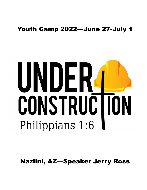## Youth Camp 2022—June 27-July 1

# UNDERAL CONSTRUCTION Philippians 1:6

Nazlini, AZ—Speaker Jerry Ross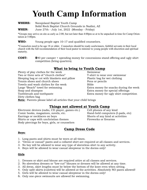# Youth Camp Information

**WHERE:** Navajoland Baptist Youth Camp Solid Rock Baptist Church Grounds in Nazlini, AZ WHEN: June 27th - July 1st, 2022 (Monday - Friday)

\*Groups may arrive on site as early as 2:00, but not later than 4:00pm so at to be unpacked in time for Camp Orientation at 5:00pm.

**WHO:** Young people ages 10-17 and qualified counselors.

\*Counselors need to be age 18 or older. Counselors should be ready soulwinners, faithful servants in their local church with the full recommendation of their local pastor to minister to young people with discretion and spiritual maturity.

COST: \$90 per camper + spending money for concessions stand offering and ugly shirt competition (bring quarters).

#### What to bring to Youth Camp

Plenty of play clothes for the week Swimwear Two or three sets of "church clothes" T-shirt to wear over swimwear Sleeping bag or cot with blankets and pillow Plastic bag for wet clothing Tennis shoes and church shoes **Pens** or pencils Towels and wash clothes for the week Bible Large "Beach" towel for swimming Extra money for snacks during the week Soap and shampoo Extra money for special offerings Toothbrush and toothpaste **Extra money for ugly shirt competition** Dirty clothes bag

Note: Parents please label all articles that your child brings

## **Things not allowed at Youth Camp**<br>CD player, games etc.) Cell phones of any kind

Electronic devices (radio, CD player, games etc.) Comic books, magazines, novels, etc. Hand-held computers (I-pads, etc) Earrings or necklaces on boys Shorts of any kind at activities Shirts or caps with unchristian themes Fireworks or firearms Body piercings for boys, girls, or counselors

#### Camp Dress Code

#### Boys:

- 1. Long pants and shirts must be worn at all times.
- 2. "Dress or casual" pants and a collared shirt are required at all classes and services.
- 3. No boy will be allowed to wear any type of sleeveless shirt to any activity.
- 4. Boys will be allowed to wear casual sleepwear in the dorms only!

#### Girls

- 1. Dresses or skirt and blouse are required attire at all classes and services.
- 2. No sleeveless dresses or "low-cut" blouses or dresses will be allowed at any time.
- 3. All dress, skirt lengths must be below the bottom of the knee even when sitting.
- 4. Only split skirts (culottes) will be allowed at the activities. Absolutely NO pants allowed!
- 5. Girls will be allowed to wear casual sleepwear in the dorms only!
- 6. Only one-piece swimsuits are allowed for swimming.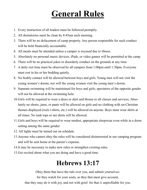# General Rules

- 1. Every instruction of all leaders must be followed promptly.
- 2. All dormitories must be clean by 8:45am each morning.
- 3. There will be no defacement of camp property. Any person responsible for such conduct will be held financially accountable.
- 4. All meals must be attended unless a camper is excused due to illness.
- 5. Absolutely no personal music devices, iPads, or video games will be permitted at the camp.
- 6. There will be no practical jokes or disorderly conduct on the grounds at any time.
- 7. A daily rest time must be observed by all campers from 1:00pm until 1:30pm. Everyone must rest in his or her bedding quietly.
- 8. No bodily contact will be allowed between boys and girls. Young men will not visit the young women's dorms, nor will the young women visit the young men's dorms.
- 9. Separate swimming will be maintained for boys and girls; spectators of the opposite gender will not be allowed at the swimming hole.
- 10.Girls will be required to wear a dress or skirt and blouse to all classes and services. Absolutely no shorts, jams, or pants will be allowed on girls and no clothing with un-Christian themes displayed (rock t-shirts, etc.) will be allowed on anyone. Boys must wear shirts at all times. No tank tops or net shirts will be allowed.
- 11.Girls and boys will be required to wear modest, appropriate sleepwear even while in a dorm setting among the same gender.
- 12. All lights must be turned out on schedule.
- 13.Anyone who cannot obey the rules will be considered disinterested in our camping program and will be sent home at the parent's expense.
- 14.It may be necessary to make new rules or strengthen existing rules.
- 15.Get excited about what you are doing and have a good time.

# Hebrews 13:17

Obey them that have the rule over you, and submit yourselves:

for they watch for your souls, as they that must give account,

that they may do it with joy, and not with grief: for that *is* unprofitable for you.